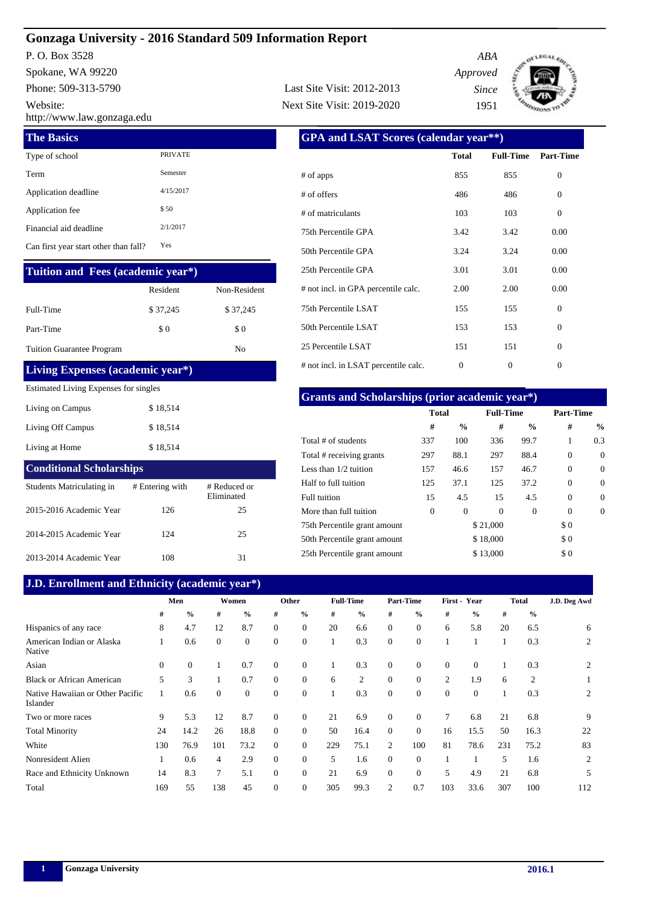# **Gonzaga University - 2016 Standard 509 Information Report**

Phone: 509-313-5790 P. O. Box 3528 Spokane, WA 99220 Website:

http://www.law.gonzaga.edu

| <b>The Basics</b>                     |                |
|---------------------------------------|----------------|
| Type of school                        | <b>PRIVATE</b> |
| Term                                  | Semester       |
| Application deadline                  | 4/15/2017      |
| Application fee                       | \$50           |
| Financial aid deadline                | 2/1/2017       |
| Can first year start other than fall? | Yes            |

## **Tuition and Fees (academic year\*)**

|                                  | Resident | Non-Resident |
|----------------------------------|----------|--------------|
| Full-Time                        | \$37,245 | \$37,245     |
| Part-Time                        | \$0      | \$0          |
| <b>Tuition Guarantee Program</b> |          | No           |

#### **Living Expenses (academic year\*)**

#### Estimated Living Expenses for singles

| Living on Campus  | \$18,514 |
|-------------------|----------|
| Living Off Campus | \$18,514 |
| Living at Home    | \$18.514 |

# Students Matriculating in # Entering with # Reduced or **Conditional Scholarships**

|                         |     | Eliminated |
|-------------------------|-----|------------|
| 2015-2016 Academic Year | 126 | 25         |
| 2014-2015 Academic Year | 124 | 25         |
| 2013-2014 Academic Year | 108 | 31         |

# **J.D. Enrollment and Ethnicity (academic year\*)**

| <b>GPA and LSAT Scores (calendar year**)</b> |              |                  |                |  |  |  |  |  |  |
|----------------------------------------------|--------------|------------------|----------------|--|--|--|--|--|--|
|                                              | <b>Total</b> | <b>Full-Time</b> | Part-Time      |  |  |  |  |  |  |
| # of apps                                    | 855          | 855              | $\theta$       |  |  |  |  |  |  |
| # of offers                                  | 486          | 486              | $\Omega$       |  |  |  |  |  |  |
| # of matriculants                            | 103          | 103              | $\Omega$       |  |  |  |  |  |  |
| 75th Percentile GPA                          | 3.42         | 3.42             | 0.00           |  |  |  |  |  |  |
| 50th Percentile GPA                          | 3.24         | 3.24             | 0.00           |  |  |  |  |  |  |
| 25th Percentile GPA                          | 3.01         | 3.01             | 0.00           |  |  |  |  |  |  |
| # not incl. in GPA percentile calc.          | 2.00         | 2.00             | 0.00           |  |  |  |  |  |  |
| 75th Percentile LSAT                         | 155          | 155              | $\Omega$       |  |  |  |  |  |  |
| 50th Percentile LSAT                         | 153          | 153              | $\overline{0}$ |  |  |  |  |  |  |
| 25 Percentile LSAT                           | 151          | 151              | $\theta$       |  |  |  |  |  |  |
| # not incl. in LSAT percentile calc.         | 0            | 0                | $\Omega$       |  |  |  |  |  |  |
|                                              |              |                  |                |  |  |  |  |  |  |

*ABA Approved Since* 1951

EGAL ED 1 ک

Last Site Visit: 2012-2013

Next Site Visit: 2019-2020

# **Grants and Scholarships (prior academic year\*)**

|                              | <b>Total</b>   |               | <b>Full-Time</b> |               | Part-Time |               |  |
|------------------------------|----------------|---------------|------------------|---------------|-----------|---------------|--|
|                              | #              | $\frac{6}{9}$ | #                | $\frac{6}{9}$ | #         | $\frac{0}{0}$ |  |
| Total # of students          | 337            | 100           | 336              | 99.7          | 1         | 0.3           |  |
| Total # receiving grants     | 297            | 88.1          | 297              | 88.4          | $\Omega$  | $\Omega$      |  |
| Less than $1/2$ tuition      | 157            | 46.6          | 157              | 46.7          | $\Omega$  | $\Omega$      |  |
| Half to full tuition         | 125            | 37.1          | 125              | 37.2          | $\Omega$  | $\Omega$      |  |
| Full tuition                 | 15             | 4.5           | 15               | 4.5           | $\Omega$  | $\Omega$      |  |
| More than full tuition       | $\overline{0}$ | $\mathbf{0}$  | $\Omega$         | $\Omega$      | $\Omega$  | $\Omega$      |  |
| 75th Percentile grant amount |                |               | \$21,000         |               | \$0       |               |  |
| 50th Percentile grant amount |                |               | \$18,000         |               | \$0       |               |  |
| 25th Percentile grant amount |                |               | \$13,000         |               | \$0       |               |  |

| J.D. Emploment and Ethnicity (academic year) |          |               |          |                |                |                |     |                  |              |                  |          |               |     |               |              |
|----------------------------------------------|----------|---------------|----------|----------------|----------------|----------------|-----|------------------|--------------|------------------|----------|---------------|-----|---------------|--------------|
|                                              |          | Men           |          | Women          |                | Other          |     | <b>Full-Time</b> |              | <b>Part-Time</b> |          | First - Year  |     | <b>Total</b>  | J.D. Deg Awd |
|                                              | #        | $\frac{0}{0}$ | #        | $\frac{6}{9}$  | #              | $\frac{6}{9}$  | #   | $\frac{0}{0}$    | #            | $\frac{0}{0}$    | #        | $\frac{0}{0}$ | #   | $\frac{0}{0}$ |              |
| Hispanics of any race                        | 8        | 4.7           | 12       | 8.7            | $\Omega$       | $\mathbf{0}$   | 20  | 6.6              | $\mathbf{0}$ | $\theta$         | 6        | 5.8           | 20  | 6.5           | 6            |
| American Indian or Alaska<br>Native          |          | 0.6           | $\Omega$ | $\overline{0}$ | $\overline{0}$ | $\mathbf{0}$   |     | 0.3              | $\mathbf{0}$ | $\theta$         |          |               |     | 0.3           | 2            |
| Asian                                        | $\Omega$ | $\Omega$      |          | 0.7            | $\Omega$       | $\mathbf{0}$   |     | 0.3              | $\Omega$     | $\theta$         | $\Omega$ | $\Omega$      |     | 0.3           | 2            |
| <b>Black or African American</b>             | 5        | 3             |          | 0.7            | $\Omega$       | $\mathbf{0}$   | 6   | 2                | $\Omega$     | $\overline{0}$   | 2        | 1.9           | 6   | 2             | 1            |
| Native Hawaiian or Other Pacific<br>Islander |          | 0.6           | $\Omega$ | $\Omega$       | $\Omega$       | $\mathbf{0}$   |     | 0.3              | $\Omega$     | $\theta$         | $\Omega$ | $\Omega$      |     | 0.3           | 2            |
| Two or more races                            | 9        | 5.3           | 12       | 8.7            | $\overline{0}$ | $\mathbf{0}$   | 21  | 6.9              | $\mathbf{0}$ | $\theta$         | 7        | 6.8           | 21  | 6.8           | 9            |
| <b>Total Minority</b>                        | 24       | 14.2          | 26       | 18.8           | $\Omega$       | $\mathbf{0}$   | 50  | 16.4             | $\mathbf{0}$ | $\mathbf{0}$     | 16       | 15.5          | 50  | 16.3          | 22           |
| White                                        | 130      | 76.9          | 101      | 73.2           | $\Omega$       | $\overline{0}$ | 229 | 75.1             | 2            | 100              | 81       | 78.6          | 231 | 75.2          | 83           |
| Nonresident Alien                            |          | 0.6           | 4        | 2.9            | $\Omega$       | $\mathbf{0}$   | 5   | 1.6              | $\Omega$     | $\theta$         |          |               | 5   | 1.6           | 2            |
| Race and Ethnicity Unknown                   | 14       | 8.3           | 7        | 5.1            | $\Omega$       | $\mathbf{0}$   | 21  | 6.9              | $\Omega$     | $\overline{0}$   | 5        | 4.9           | 21  | 6.8           | 5            |
| Total                                        | 169      | 55            | 138      | 45             | $\mathbf{0}$   | $\mathbf{0}$   | 305 | 99.3             | 2            | 0.7              | 103      | 33.6          | 307 | 100           | 112          |